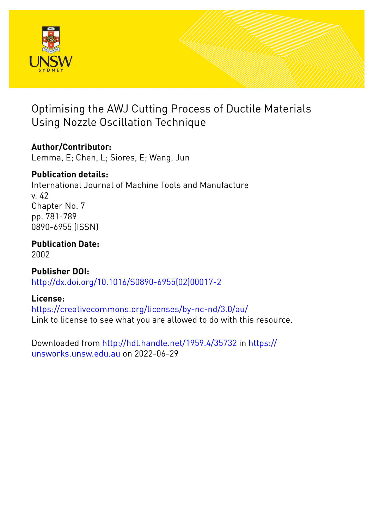

# Optimising the AWJ Cutting Process of Ductile Materials Using Nozzle Oscillation Technique

# **Author/Contributor:**

Lemma, E; Chen, L; Siores, E; Wang, Jun

# **Publication details:**

International Journal of Machine Tools and Manufacture v. 42 Chapter No. 7 pp. 781-789 0890-6955 (ISSN)

**Publication Date:** 2002

**Publisher DOI:** [http://dx.doi.org/10.1016/S0890-6955\(02\)00017-2](http://dx.doi.org/http://dx.doi.org/10.1016/S0890-6955(02)00017-2)

## **License:**

<https://creativecommons.org/licenses/by-nc-nd/3.0/au/> Link to license to see what you are allowed to do with this resource.

Downloaded from <http://hdl.handle.net/1959.4/35732> in [https://](https://unsworks.unsw.edu.au) [unsworks.unsw.edu.au](https://unsworks.unsw.edu.au) on 2022-06-29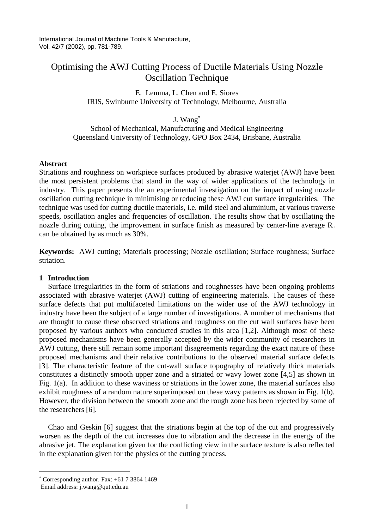### Optimising the AWJ Cutting Process of Ductile Materials Using Nozzle Oscillation Technique

E. Lemma, L. Chen and E. Siores IRIS, Swinburne University of Technology, Melbourne, Australia

J. Wang<sup>∗</sup> School of Mechanical, Manufacturing and Medical Engineering Queensland University of Technology, GPO Box 2434, Brisbane, Australia

### **Abstract**

Striations and roughness on workpiece surfaces produced by abrasive waterjet (AWJ) have been the most persistent problems that stand in the way of wider applications of the technology in industry. This paper presents the an experimental investigation on the impact of using nozzle oscillation cutting technique in minimising or reducing these AWJ cut surface irregularities. The technique was used for cutting ductile materials, i.e. mild steel and aluminium, at various traverse speeds, oscillation angles and frequencies of oscillation. The results show that by oscillating the nozzle during cutting, the improvement in surface finish as measured by center-line average  $R_a$ can be obtained by as much as 30%.

**Keywords:** AWJ cutting; Materials processing; Nozzle oscillation; Surface roughness; Surface striation.

### **1 Introduction**

 Surface irregularities in the form of striations and roughnesses have been ongoing problems associated with abrasive waterjet (AWJ) cutting of engineering materials. The causes of these surface defects that put multifaceted limitations on the wider use of the AWJ technology in industry have been the subject of a large number of investigations. A number of mechanisms that are thought to cause these observed striations and roughness on the cut wall surfaces have been proposed by various authors who conducted studies in this area [1,2]. Although most of these proposed mechanisms have been generally accepted by the wider community of researchers in AWJ cutting, there still remain some important disagreements regarding the exact nature of these proposed mechanisms and their relative contributions to the observed material surface defects [3]. The characteristic feature of the cut-wall surface topography of relatively thick materials constitutes a distinctly smooth upper zone and a striated or wavy lower zone [4,5] as shown in Fig. 1(a). In addition to these waviness or striations in the lower zone, the material surfaces also exhibit roughness of a random nature superimposed on these wavy patterns as shown in Fig. 1(b). However, the division between the smooth zone and the rough zone has been rejected by some of the researchers [6].

 Chao and Geskin [6] suggest that the striations begin at the top of the cut and progressively worsen as the depth of the cut increases due to vibration and the decrease in the energy of the abrasive jet. The explanation given for the conflicting view in the surface texture is also reflected in the explanation given for the physics of the cutting process.

 $\overline{a}$ 

<sup>∗</sup> Corresponding author. Fax: +61 7 3864 1469

Email address: j.wang@qut.edu.au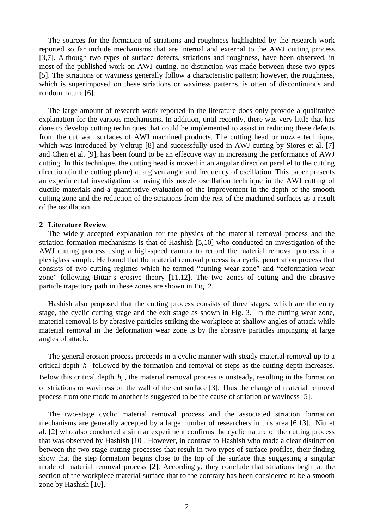The sources for the formation of striations and roughness highlighted by the research work reported so far include mechanisms that are internal and external to the AWJ cutting process [3,7]. Although two types of surface defects, striations and roughness, have been observed, in most of the published work on AWJ cutting, no distinction was made between these two types [5]. The striations or waviness generally follow a characteristic pattern; however, the roughness, which is superimposed on these striations or waviness patterns, is often of discontinuous and random nature [6].

 The large amount of research work reported in the literature does only provide a qualitative explanation for the various mechanisms. In addition, until recently, there was very little that has done to develop cutting techniques that could be implemented to assist in reducing these defects from the cut wall surfaces of AWJ machined products. The cutting head or nozzle technique, which was introduced by Veltrup [8] and successfully used in AWJ cutting by Siores et al. [7] and Chen et al. [9], has been found to be an effective way in increasing the performance of AWJ cutting. In this technique, the cutting head is moved in an angular direction parallel to the cutting direction (in the cutting plane) at a given angle and frequency of oscillation. This paper presents an experimental investigation on using this nozzle oscillation technique in the AWJ cutting of ductile materials and a quantitative evaluation of the improvement in the depth of the smooth cutting zone and the reduction of the striations from the rest of the machined surfaces as a result of the oscillation.

#### **2 Literature Review**

 The widely accepted explanation for the physics of the material removal process and the striation formation mechanisms is that of Hashish [5,10] who conducted an investigation of the AWJ cutting process using a high-speed camera to record the material removal process in a plexiglass sample. He found that the material removal process is a cyclic penetration process that consists of two cutting regimes which he termed "cutting wear zone" and "deformation wear zone" following Bittar's erosive theory [11,12]. The two zones of cutting and the abrasive particle trajectory path in these zones are shown in Fig. 2.

 Hashish also proposed that the cutting process consists of three stages, which are the entry stage, the cyclic cutting stage and the exit stage as shown in Fig. 3. In the cutting wear zone, material removal is by abrasive particles striking the workpiece at shallow angles of attack while material removal in the deformation wear zone is by the abrasive particles impinging at large angles of attack.

 The general erosion process proceeds in a cyclic manner with steady material removal up to a critical depth  $h_c$  followed by the formation and removal of steps as the cutting depth increases. Below this critical depth  $h_c$ , the material removal process is unsteady, resulting in the formation of striations or waviness on the wall of the cut surface [3]. Thus the change of material removal process from one mode to another is suggested to be the cause of striation or waviness [5].

 The two-stage cyclic material removal process and the associated striation formation mechanisms are generally accepted by a large number of researchers in this area [6,13]. Niu et al. [2] who also conducted a similar experiment confirms the cyclic nature of the cutting process that was observed by Hashish [10]. However, in contrast to Hashish who made a clear distinction between the two stage cutting processes that result in two types of surface profiles, their finding show that the step formation begins close to the top of the surface thus suggesting a singular mode of material removal process [2]. Accordingly, they conclude that striations begin at the section of the workpiece material surface that to the contrary has been considered to be a smooth zone by Hashish [10].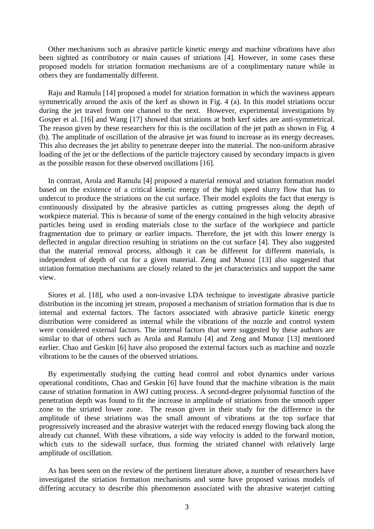Other mechanisms such as abrasive particle kinetic energy and machine vibrations have also been sighted as contributory or main causes of striations [4]. However, in some cases these proposed models for striation formation mechanisms are of a complimentary nature while in others they are fundamentally different.

 Raju and Ramulu [14] proposed a model for striation formation in which the waviness appears symmetrically around the axis of the kerf as shown in Fig. 4 (a). In this model striations occur during the jet travel from one channel to the next. However, experimental investigations by Gosper et al. [16] and Wang [17] showed that striations at both kerf sides are anti-symmetrical. The reason given by these researchers for this is the oscillation of the jet path as shown in Fig. 4 (b). The amplitude of oscillation of the abrasive jet was found to increase as its energy decreases. This also decreases the jet ability to penetrate deeper into the material. The non-uniform abrasive loading of the jet or the deflections of the particle trajectory caused by secondary impacts is given as the possible reason for these observed oscillations [16].

 In contrast, Arola and Ramulu [4] proposed a material removal and striation formation model based on the existence of a critical kinetic energy of the high speed slurry flow that has to undercut to produce the striations on the cut surface. Their model exploits the fact that energy is continuously dissipated by the abrasive particles as cutting progresses along the depth of workpiece material. This is because of some of the energy contained in the high velocity abrasive particles being used in eroding materials close to the surface of the workpiece and particle fragmentation due to primary or earlier impacts. Therefore, the jet with this lower energy is deflected in angular direction resulting in striations on the cut surface [4]. They also suggested that the material removal process, although it can be different for different materials, is independent of depth of cut for a given material. Zeng and Munoz [13] also suggested that striation formation mechanisms are closely related to the jet characteristics and support the same view.

 Siores et al. [18], who used a non-invasive LDA technique to investigate abrasive particle distribution in the incoming jet stream, proposed a mechanism of striation formation that is due to internal and external factors. The factors associated with abrasive particle kinetic energy distribution were considered as internal while the vibrations of the nozzle and control system were considered external factors. The internal factors that were suggested by these authors are similar to that of others such as Arola and Ramulu [4] and Zeng and Munoz [13] mentioned earlier. Chao and Geskin [6] have also proposed the external factors such as machine and nozzle vibrations to be the causes of the observed striations.

 By experimentally studying the cutting head control and robot dynamics under various operational conditions, Chao and Geskin [6] have found that the machine vibration is the main cause of striation formation in AWJ cutting process. A second-degree polynomial function of the penetration depth was found to fit the increase in amplitude of striations from the smooth upper zone to the striated lower zone. The reason given in their study for the difference in the amplitude of these striations was the small amount of vibrations at the top surface that progressively increased and the abrasive waterjet with the reduced energy flowing back along the already cut channel. With these vibrations, a side way velocity is added to the forward motion, which cuts to the sidewall surface, thus forming the striated channel with relatively large amplitude of oscillation.

 As has been seen on the review of the pertinent literature above, a number of researchers have investigated the striation formation mechanisms and some have proposed various models of differing accuracy to describe this phenomenon associated with the abrasive waterjet cutting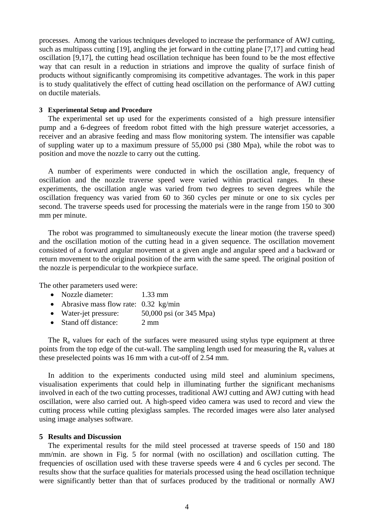processes. Among the various techniques developed to increase the performance of AWJ cutting, such as multipass cutting [19], angling the jet forward in the cutting plane [7,17] and cutting head oscillation [9,17], the cutting head oscillation technique has been found to be the most effective way that can result in a reduction in striations and improve the quality of surface finish of products without significantly compromising its competitive advantages. The work in this paper is to study qualitatively the effect of cutting head oscillation on the performance of AWJ cutting on ductile materials.

#### **3 Experimental Setup and Procedure**

 The experimental set up used for the experiments consisted of a high pressure intensifier pump and a 6-degrees of freedom robot fitted with the high pressure waterjet accessories, a receiver and an abrasive feeding and mass flow monitoring system. The intensifier was capable of suppling water up to a maximum pressure of 55,000 psi (380 Mpa), while the robot was to position and move the nozzle to carry out the cutting.

 A number of experiments were conducted in which the oscillation angle, frequency of oscillation and the nozzle traverse speed were varied within practical ranges. In these experiments, the oscillation angle was varied from two degrees to seven degrees while the oscillation frequency was varied from 60 to 360 cycles per minute or one to six cycles per second. The traverse speeds used for processing the materials were in the range from 150 to 300 mm per minute.

 The robot was programmed to simultaneously execute the linear motion (the traverse speed) and the oscillation motion of the cutting head in a given sequence. The oscillation movement consisted of a forward angular movement at a given angle and angular speed and a backward or return movement to the original position of the arm with the same speed. The original position of the nozzle is perpendicular to the workpiece surface.

The other parameters used were:

- Nozzle diameter: 1.33 mm
- Abrasive mass flow rate: 0.32 kg/min
- Water-jet pressure: 50,000 psi (or 345 Mpa)
- Stand off distance: 2 mm

The  $R_a$  values for each of the surfaces were measured using stylus type equipment at three points from the top edge of the cut-wall. The sampling length used for measuring the  $R_a$  values at these preselected points was 16 mm with a cut-off of 2.54 mm.

 In addition to the experiments conducted using mild steel and aluminium specimens, visualisation experiments that could help in illuminating further the significant mechanisms involved in each of the two cutting processes, traditional AWJ cutting and AWJ cutting with head oscillation, were also carried out. A high-speed video camera was used to record and view the cutting process while cutting plexiglass samples. The recorded images were also later analysed using image analyses software.

#### **5 Results and Discussion**

 The experimental results for the mild steel processed at traverse speeds of 150 and 180 mm/min. are shown in Fig. 5 for normal (with no oscillation) and oscillation cutting. The frequencies of oscillation used with these traverse speeds were 4 and 6 cycles per second. The results show that the surface qualities for materials processed using the head oscillation technique were significantly better than that of surfaces produced by the traditional or normally AWJ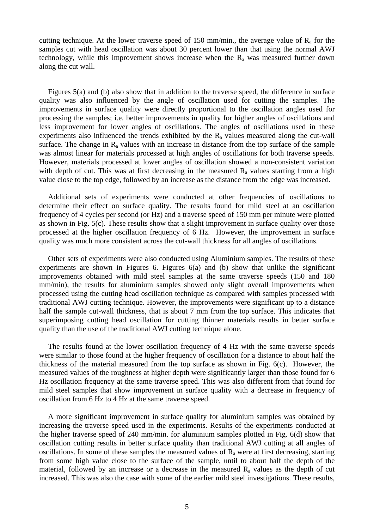cutting technique. At the lower traverse speed of 150 mm/min., the average value of  $R_a$  for the samples cut with head oscillation was about 30 percent lower than that using the normal AWJ technology, while this improvement shows increase when the  $R<sub>a</sub>$  was measured further down along the cut wall.

 Figures 5(a) and (b) also show that in addition to the traverse speed, the difference in surface quality was also influenced by the angle of oscillation used for cutting the samples. The improvements in surface quality were directly proportional to the oscillation angles used for processing the samples; i.e. better improvements in quality for higher angles of oscillations and less improvement for lower angles of oscillations. The angles of oscillations used in these experiments also influenced the trends exhibited by the  $R_a$  values measured along the cut-wall surface. The change in  $R_a$  values with an increase in distance from the top surface of the sample was almost linear for materials processed at high angles of oscillations for both traverse speeds. However, materials processed at lower angles of oscillation showed a non-consistent variation with depth of cut. This was at first decreasing in the measured  $R_a$  values starting from a high value close to the top edge, followed by an increase as the distance from the edge was increased.

 Additional sets of experiments were conducted at other frequencies of oscillations to determine their effect on surface quality. The results found for mild steel at an oscillation frequency of 4 cycles per second (or Hz) and a traverse speed of 150 mm per minute were plotted as shown in Fig. 5(c). These results show that a slight improvement in surface quality over those processed at the higher oscillation frequency of 6 Hz. However, the improvement in surface quality was much more consistent across the cut-wall thickness for all angles of oscillations.

 Other sets of experiments were also conducted using Aluminium samples. The results of these experiments are shown in Figures  $6$ . Figures  $6(a)$  and  $(b)$  show that unlike the significant improvements obtained with mild steel samples at the same traverse speeds (150 and 180 mm/min), the results for aluminium samples showed only slight overall improvements when processed using the cutting head oscillation technique as compared with samples processed with traditional AWJ cutting technique. However, the improvements were significant up to a distance half the sample cut-wall thickness, that is about 7 mm from the top surface. This indicates that superimposing cutting head oscillation for cutting thinner materials results in better surface quality than the use of the traditional AWJ cutting technique alone.

 The results found at the lower oscillation frequency of 4 Hz with the same traverse speeds were similar to those found at the higher frequency of oscillation for a distance to about half the thickness of the material measured from the top surface as shown in Fig. 6(c). However, the measured values of the roughness at higher depth were significantly larger than those found for 6 Hz oscillation frequency at the same traverse speed. This was also different from that found for mild steel samples that show improvement in surface quality with a decrease in frequency of oscillation from 6 Hz to 4 Hz at the same traverse speed.

 A more significant improvement in surface quality for aluminium samples was obtained by increasing the traverse speed used in the experiments. Results of the experiments conducted at the higher traverse speed of 240 mm/min. for aluminium samples plotted in Fig. 6(d) show that oscillation cutting results in better surface quality than traditional AWJ cutting at all angles of oscillations. In some of these samples the measured values of  $R_a$  were at first decreasing, starting from some high value close to the surface of the sample, until to about half the depth of the material, followed by an increase or a decrease in the measured  $R_a$  values as the depth of cut increased. This was also the case with some of the earlier mild steel investigations. These results,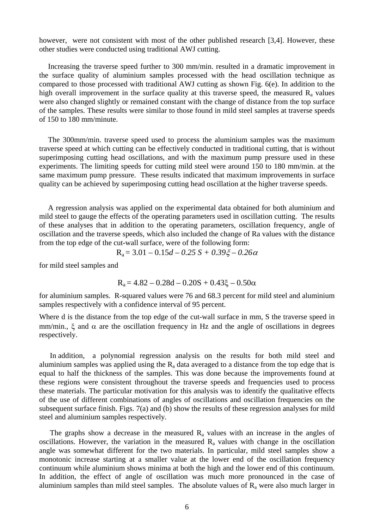however, were not consistent with most of the other published research [3,4]. However, these other studies were conducted using traditional AWJ cutting.

 Increasing the traverse speed further to 300 mm/min. resulted in a dramatic improvement in the surface quality of aluminium samples processed with the head oscillation technique as compared to those processed with traditional AWJ cutting as shown Fig. 6(e). In addition to the high overall improvement in the surface quality at this traverse speed, the measured  $R_a$  values were also changed slightly or remained constant with the change of distance from the top surface of the samples. These results were similar to those found in mild steel samples at traverse speeds of 150 to 180 mm/minute.

 The 300mm/min. traverse speed used to process the aluminium samples was the maximum traverse speed at which cutting can be effectively conducted in traditional cutting, that is without superimposing cutting head oscillations, and with the maximum pump pressure used in these experiments. The limiting speeds for cutting mild steel were around 150 to 180 mm/min. at the same maximum pump pressure. These results indicated that maximum improvements in surface quality can be achieved by superimposing cutting head oscillation at the higher traverse speeds.

 A regression analysis was applied on the experimental data obtained for both aluminium and mild steel to gauge the effects of the operating parameters used in oscillation cutting. The results of these analyses that in addition to the operating parameters, oscillation frequency, angle of oscillation and the traverse speeds, which also included the change of Ra values with the distance from the top edge of the cut-wall surface, were of the following form:

$$
R_a = 3.01 - 0.15d - 0.25 S + 0.39\xi - 0.26\alpha
$$

for mild steel samples and

$$
R_a\!=\!4.82-0.28d-0.20S+0.43\xi-0.50\alpha
$$

for aluminium samples. R-squared values were 76 and 68.3 percent for mild steel and aluminium samples respectively with a confidence interval of 95 percent.

Where d is the distance from the top edge of the cut-wall surface in mm, S the traverse speed in mm/min.,  $\xi$  and  $\alpha$  are the oscillation frequency in Hz and the angle of oscillations in degrees respectively.

 In addition, a polynomial regression analysis on the results for both mild steel and aluminium samples was applied using the  $R_a$  data averaged to a distance from the top edge that is equal to half the thickness of the samples. This was done because the improvements found at these regions were consistent throughout the traverse speeds and frequencies used to process these materials. The particular motivation for this analysis was to identify the qualitative effects of the use of different combinations of angles of oscillations and oscillation frequencies on the subsequent surface finish. Figs. 7(a) and (b) show the results of these regression analyses for mild steel and aluminium samples respectively.

The graphs show a decrease in the measured  $R_a$  values with an increase in the angles of oscillations. However, the variation in the measured  $R_a$  values with change in the oscillation angle was somewhat different for the two materials. In particular, mild steel samples show a monotonic increase starting at a smaller value at the lower end of the oscillation frequency continuum while aluminium shows minima at both the high and the lower end of this continuum. In addition, the effect of angle of oscillation was much more pronounced in the case of aluminium samples than mild steel samples. The absolute values of  $R_a$  were also much larger in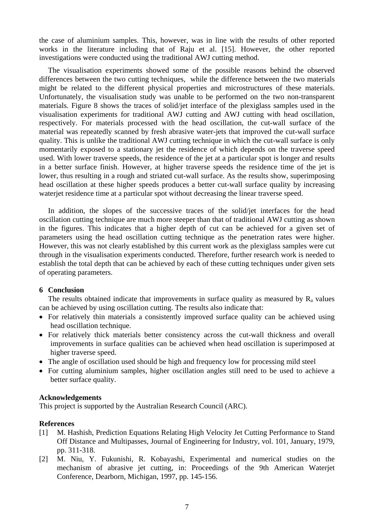the case of aluminium samples. This, however, was in line with the results of other reported works in the literature including that of Raju et al. [15]. However, the other reported investigations were conducted using the traditional AWJ cutting method.

 The visualisation experiments showed some of the possible reasons behind the observed differences between the two cutting techniques, while the difference between the two materials might be related to the different physical properties and microstructures of these materials. Unfortunately, the visualisation study was unable to be performed on the two non-transparent materials. Figure 8 shows the traces of solid/jet interface of the plexiglass samples used in the visualisation experiments for traditional AWJ cutting and AWJ cutting with head oscillation, respectively. For materials processed with the head oscillation, the cut-wall surface of the material was repeatedly scanned by fresh abrasive water-jets that improved the cut-wall surface quality. This is unlike the traditional AWJ cutting technique in which the cut-wall surface is only momentarily exposed to a stationary jet the residence of which depends on the traverse speed used. With lower traverse speeds, the residence of the jet at a particular spot is longer and results in a better surface finish. However, at higher traverse speeds the residence time of the jet is lower, thus resulting in a rough and striated cut-wall surface. As the results show, superimposing head oscillation at these higher speeds produces a better cut-wall surface quality by increasing waterjet residence time at a particular spot without decreasing the linear traverse speed.

 In addition, the slopes of the successive traces of the solid/jet interfaces for the head oscillation cutting technique are much more steeper than that of traditional AWJ cutting as shown in the figures. This indicates that a higher depth of cut can be achieved for a given set of parameters using the head oscillation cutting technique as the penetration rates were higher. However, this was not clearly established by this current work as the plexiglass samples were cut through in the visualisation experiments conducted. Therefore, further research work is needed to establish the total depth that can be achieved by each of these cutting techniques under given sets of operating parameters.

### **6 Conclusion**

The results obtained indicate that improvements in surface quality as measured by  $R_a$  values can be achieved by using oscillation cutting. The results also indicate that:

- For relatively thin materials a consistently improved surface quality can be achieved using head oscillation technique.
- For relatively thick materials better consistency across the cut-wall thickness and overall improvements in surface qualities can be achieved when head oscillation is superimposed at higher traverse speed.
- The angle of oscillation used should be high and frequency low for processing mild steel
- For cutting aluminium samples, higher oscillation angles still need to be used to achieve a better surface quality.

#### **Acknowledgements**

This project is supported by the Australian Research Council (ARC).

#### **References**

- [1] M. Hashish, Prediction Equations Relating High Velocity Jet Cutting Performance to Stand Off Distance and Multipasses, Journal of Engineering for Industry, vol. 101, January, 1979, pp. 311-318.
- [2] M. Niu, Y. Fukunishi, R. Kobayashi, Experimental and numerical studies on the mechanism of abrasive jet cutting, in: Proceedings of the 9th American Waterjet Conference, Dearborn, Michigan, 1997, pp. 145-156.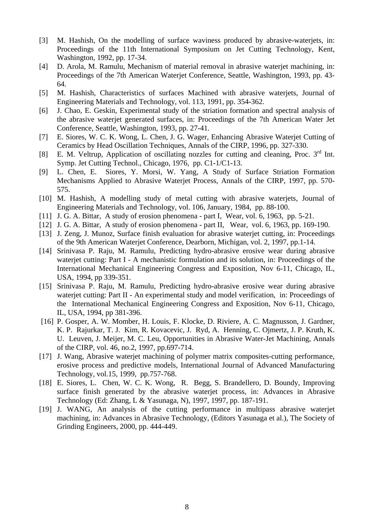- [3] M. Hashish, On the modelling of surface waviness produced by abrasive-waterjets, in: Proceedings of the 11th International Symposium on Jet Cutting Technology, Kent, Washington, 1992, pp. 17-34.
- [4] D. Arola, M. Ramulu, Mechanism of material removal in abrasive waterjet machining, in: Proceedings of the 7th American Waterjet Conference, Seattle, Washington, 1993, pp. 43- 64.
- [5] M. Hashish, Characteristics of surfaces Machined with abrasive waterjets, Journal of Engineering Materials and Technology, vol. 113, 1991, pp. 354-362.
- [6] J. Chao, E. Geskin, Experimental study of the striation formation and spectral analysis of the abrasive waterjet generated surfaces, in: Proceedings of the 7th American Water Jet Conference, Seattle, Washington, 1993, pp. 27-41.
- [7] E. Siores, W. C. K. Wong, L. Chen, J. G. Wager, Enhancing Abrasive Waterjet Cutting of Ceramics by Head Oscillation Techniques, Annals of the CIRP, 1996, pp. 327-330.
- [8] E. M. Veltrup, Application of oscillating nozzles for cutting and cleaning, Proc. 3<sup>rd</sup> Int. Symp. Jet Cutting Technol., Chicago, 1976, pp. C1-1/C1-13.
- [9] L. Chen, E. Siores, Y. Morsi, W. Yang, A Study of Surface Striation Formation Mechanisms Applied to Abrasive Waterjet Process, Annals of the CIRP, 1997, pp. 570- 575.
- [10] M. Hashish, A modelling study of metal cutting with abrasive waterjets, Journal of Engineering Materials and Technology, vol. 106, January, 1984, pp. 88-100.
- [11] J. G. A. Bittar, A study of erosion phenomena part I, Wear, vol. 6, 1963, pp. 5-21.
- [12] J. G. A. Bittar, A study of erosion phenomena part II, Wear, vol. 6, 1963, pp. 169-190.
- [13] J. Zeng, J. Munoz, Surface finish evaluation for abrasive waterjet cutting, in: Proceedings of the 9th American Waterjet Conference, Dearborn, Michigan, vol. 2, 1997, pp.1-14.
- [14] Srinivasa P. Raju, M. Ramulu, Predicting hydro-abrasive erosive wear during abrasive waterjet cutting: Part I - A mechanistic formulation and its solution, in: Proceedings of the International Mechanical Engineering Congress and Exposition, Nov 6-11, Chicago, IL, USA, 1994, pp 339-351.
- [15] Srinivasa P. Raju, M. Ramulu, Predicting hydro-abrasive erosive wear during abrasive waterjet cutting: Part II - An experimental study and model verification, in: Proceedings of the International Mechanical Engineering Congress and Exposition, Nov 6-11, Chicago, IL, USA, 1994, pp 381-396.
- [16] P. Gosper, A. W. Momber, H. Louis, F. Klocke, D. Riviere, A. C. Magnusson, J. Gardner, K. P. Rajurkar, T. J. Kim, R. Kovacevic, J. Ryd, A. Henning, C. Ojmertz, J. P. Kruth, K. U. Leuven, J. Meijer, M. C. Leu, Opportunities in Abrasive Water-Jet Machining, Annals of the CIRP, vol. 46, no.2, 1997, pp.697-714.
- [17] J. Wang, Abrasive waterjet machining of polymer matrix composites-cutting performance, erosive process and predictive models, International Journal of Advanced Manufacturing Technology, vol.15, 1999, pp.757-768.
- [18] E. Siores, L. Chen, W. C. K. Wong, R. Begg, S. Brandellero, D. Boundy, Improving surface finish generated by the abrasive waterjet process, in: Advances in Abrasive Technology (Ed: Zhang, L & Yasunaga, N), 1997, 1997, pp. 187-191.
- [19] J. WANG, An analysis of the cutting performance in multipass abrasive waterjet machining, in: Advances in Abrasive Technology, (Editors Yasunaga et al.), The Society of Grinding Engineers, 2000, pp. 444-449.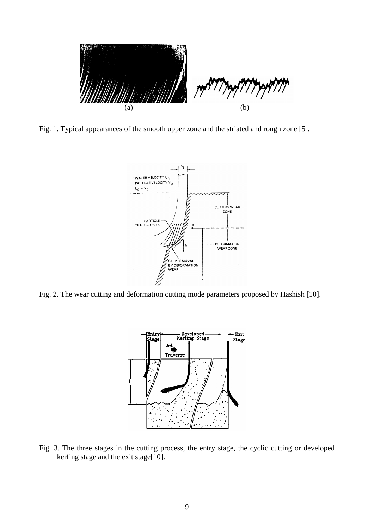

Fig. 1. Typical appearances of the smooth upper zone and the striated and rough zone [5].



Fig. 2. The wear cutting and deformation cutting mode parameters proposed by Hashish [10].



Fig. 3. The three stages in the cutting process, the entry stage, the cyclic cutting or developed kerfing stage and the exit stage[10].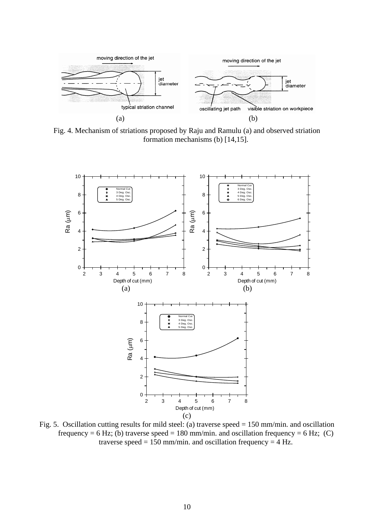

Fig. 4. Mechanism of striations proposed by Raju and Ramulu (a) and observed striation formation mechanisms (b) [14,15].



Fig. 5. Oscillation cutting results for mild steel: (a) traverse speed = 150 mm/min. and oscillation frequency = 6 Hz; (b) traverse speed = 180 mm/min. and oscillation frequency = 6 Hz; (C) traverse speed =  $150$  mm/min. and oscillation frequency =  $4$  Hz.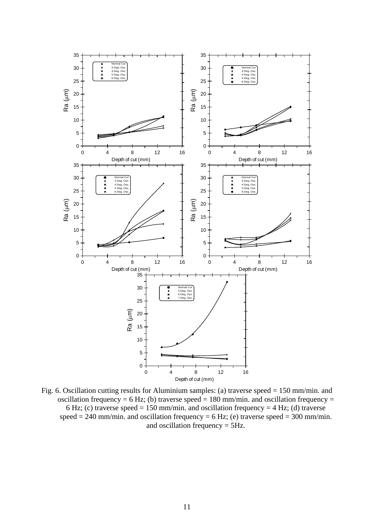

Fig. 6. Oscillation cutting results for Aluminium samples: (a) traverse speed = 150 mm/min. and oscillation frequency = 6 Hz; (b) traverse speed = 180 mm/min. and oscillation frequency = 6 Hz; (c) traverse speed = 150 mm/min. and oscillation frequency = 4 Hz; (d) traverse speed  $= 240$  mm/min. and oscillation frequency  $= 6$  Hz; (e) traverse speed  $= 300$  mm/min. and oscillation frequency = 5Hz.